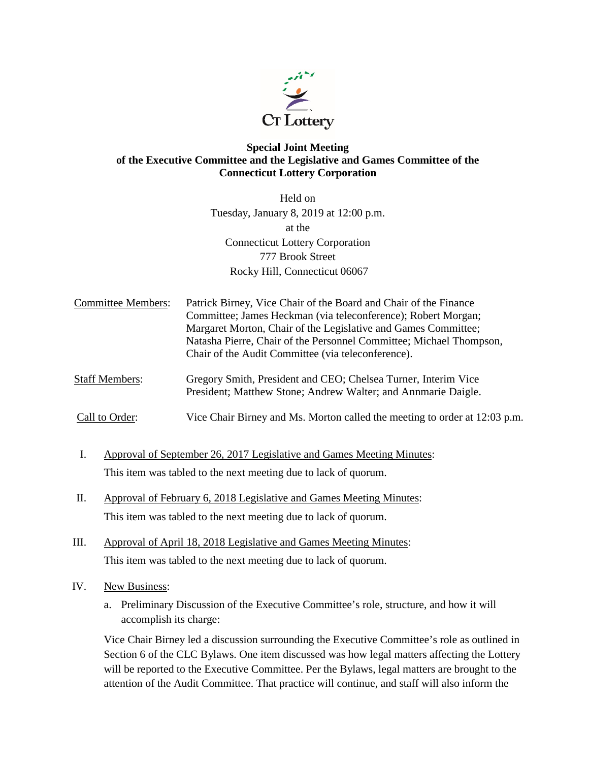

## **Special Joint Meeting of the Executive Committee and the Legislative and Games Committee of the Connecticut Lottery Corporation**

Held on Tuesday, January 8, 2019 at 12:00 p.m. at the Connecticut Lottery Corporation 777 Brook Street Rocky Hill, Connecticut 06067

Committee Members: Patrick Birney, Vice Chair of the Board and Chair of the Finance Committee; James Heckman (via teleconference); Robert Morgan; Margaret Morton, Chair of the Legislative and Games Committee; Natasha Pierre, Chair of the Personnel Committee; Michael Thompson, Chair of the Audit Committee (via teleconference).

Staff Members: Gregory Smith, President and CEO; Chelsea Turner, Interim Vice President; Matthew Stone; Andrew Walter; and Annmarie Daigle.

Call to Order: Vice Chair Birney and Ms. Morton called the meeting to order at 12:03 p.m.

- I. Approval of September 26, 2017 Legislative and Games Meeting Minutes: This item was tabled to the next meeting due to lack of quorum.
- II. Approval of February 6, 2018 Legislative and Games Meeting Minutes: This item was tabled to the next meeting due to lack of quorum.
- III. Approval of April 18, 2018 Legislative and Games Meeting Minutes: This item was tabled to the next meeting due to lack of quorum.
- IV. New Business:
	- a. Preliminary Discussion of the Executive Committee's role, structure, and how it will accomplish its charge:

Vice Chair Birney led a discussion surrounding the Executive Committee's role as outlined in Section 6 of the CLC Bylaws. One item discussed was how legal matters affecting the Lottery will be reported to the Executive Committee. Per the Bylaws, legal matters are brought to the attention of the Audit Committee. That practice will continue, and staff will also inform the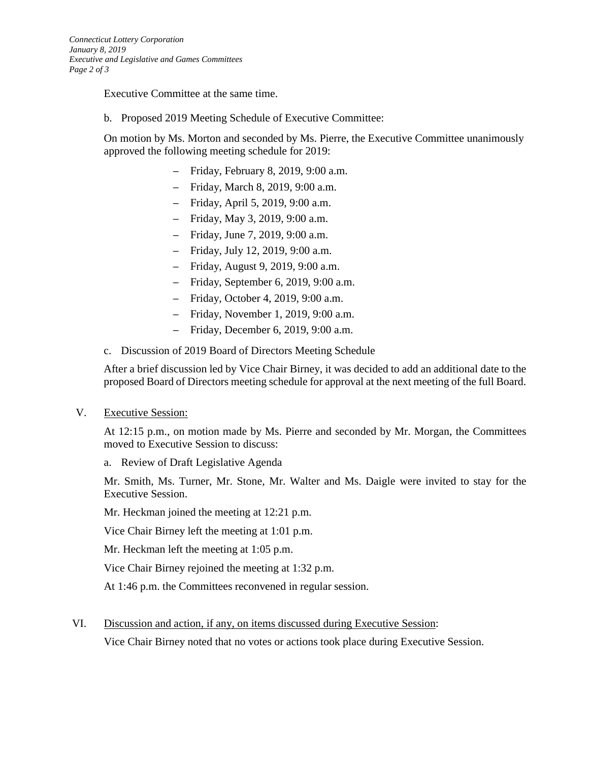Executive Committee at the same time.

b. Proposed 2019 Meeting Schedule of Executive Committee:

On motion by Ms. Morton and seconded by Ms. Pierre, the Executive Committee unanimously approved the following meeting schedule for 2019:

- Friday, February 8, 2019, 9:00 a.m.
- Friday, March 8, 2019, 9:00 a.m.
- Friday, April 5, 2019, 9:00 a.m.
- Friday, May 3, 2019, 9:00 a.m.
- Friday, June 7, 2019, 9:00 a.m.
- Friday, July 12, 2019, 9:00 a.m.
- Friday, August 9, 2019, 9:00 a.m.
- Friday, September 6, 2019, 9:00 a.m.
- Friday, October 4, 2019, 9:00 a.m.
- Friday, November 1, 2019, 9:00 a.m.
- Friday, December 6, 2019, 9:00 a.m.
- c. Discussion of 2019 Board of Directors Meeting Schedule

After a brief discussion led by Vice Chair Birney, it was decided to add an additional date to the proposed Board of Directors meeting schedule for approval at the next meeting of the full Board.

V. Executive Session:

At 12:15 p.m., on motion made by Ms. Pierre and seconded by Mr. Morgan, the Committees moved to Executive Session to discuss:

a. Review of Draft Legislative Agenda

Mr. Smith, Ms. Turner, Mr. Stone, Mr. Walter and Ms. Daigle were invited to stay for the Executive Session.

Mr. Heckman joined the meeting at 12:21 p.m.

Vice Chair Birney left the meeting at 1:01 p.m.

Mr. Heckman left the meeting at 1:05 p.m.

Vice Chair Birney rejoined the meeting at 1:32 p.m.

At 1:46 p.m. the Committees reconvened in regular session.

VI. Discussion and action, if any, on items discussed during Executive Session:

Vice Chair Birney noted that no votes or actions took place during Executive Session.